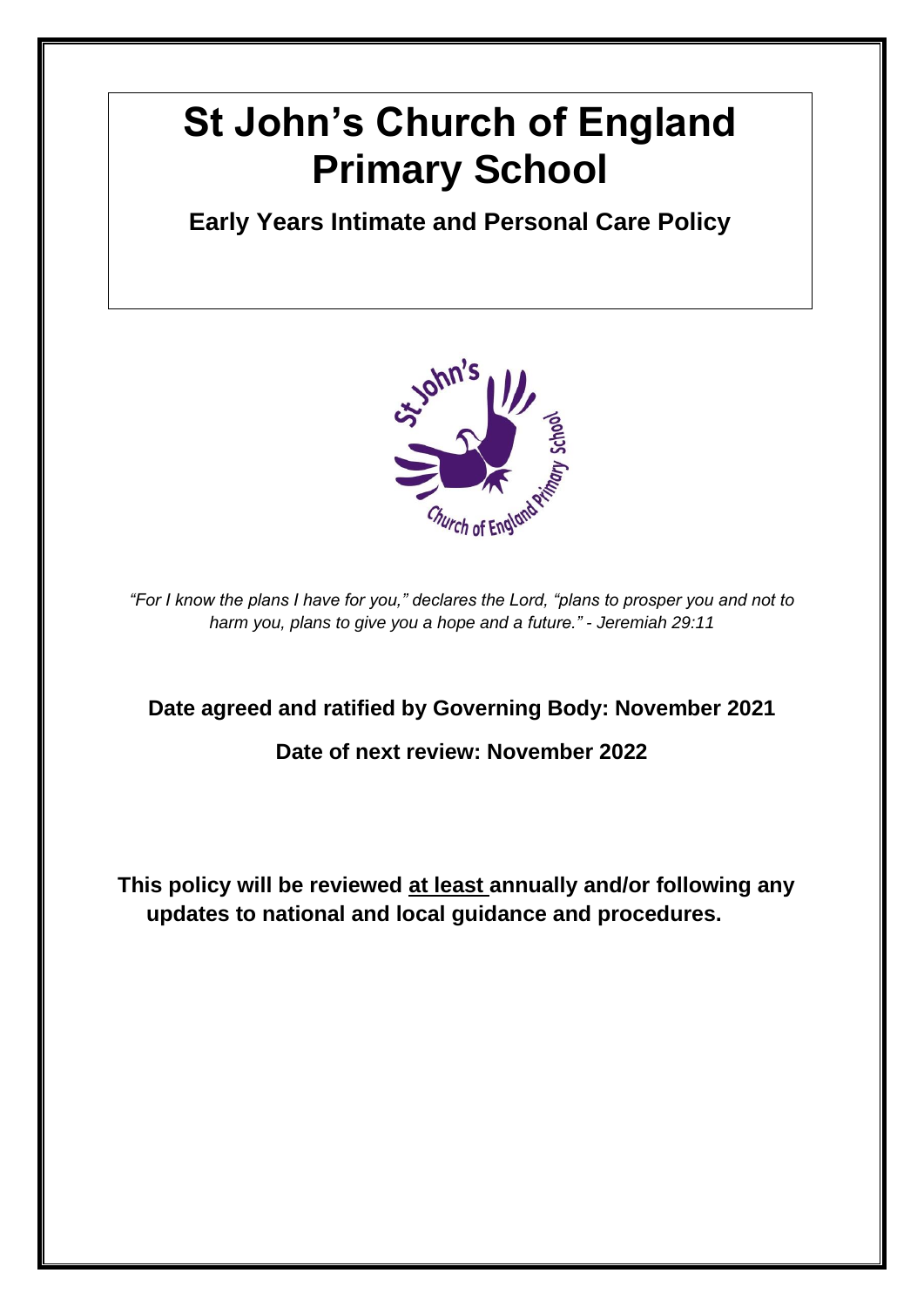# **St John's Church of England Primary School**

**Early Years Intimate and Personal Care Policy**



*"For I know the plans I have for you," declares the Lord, "plans to prosper you and not to harm you, plans to give you a hope and a future." - Jeremiah 29:11*

**Date agreed and ratified by Governing Body: November 2021**

**Date of next review: November 2022**

**This policy will be reviewed at least annually and/or following any updates to national and local guidance and procedures.**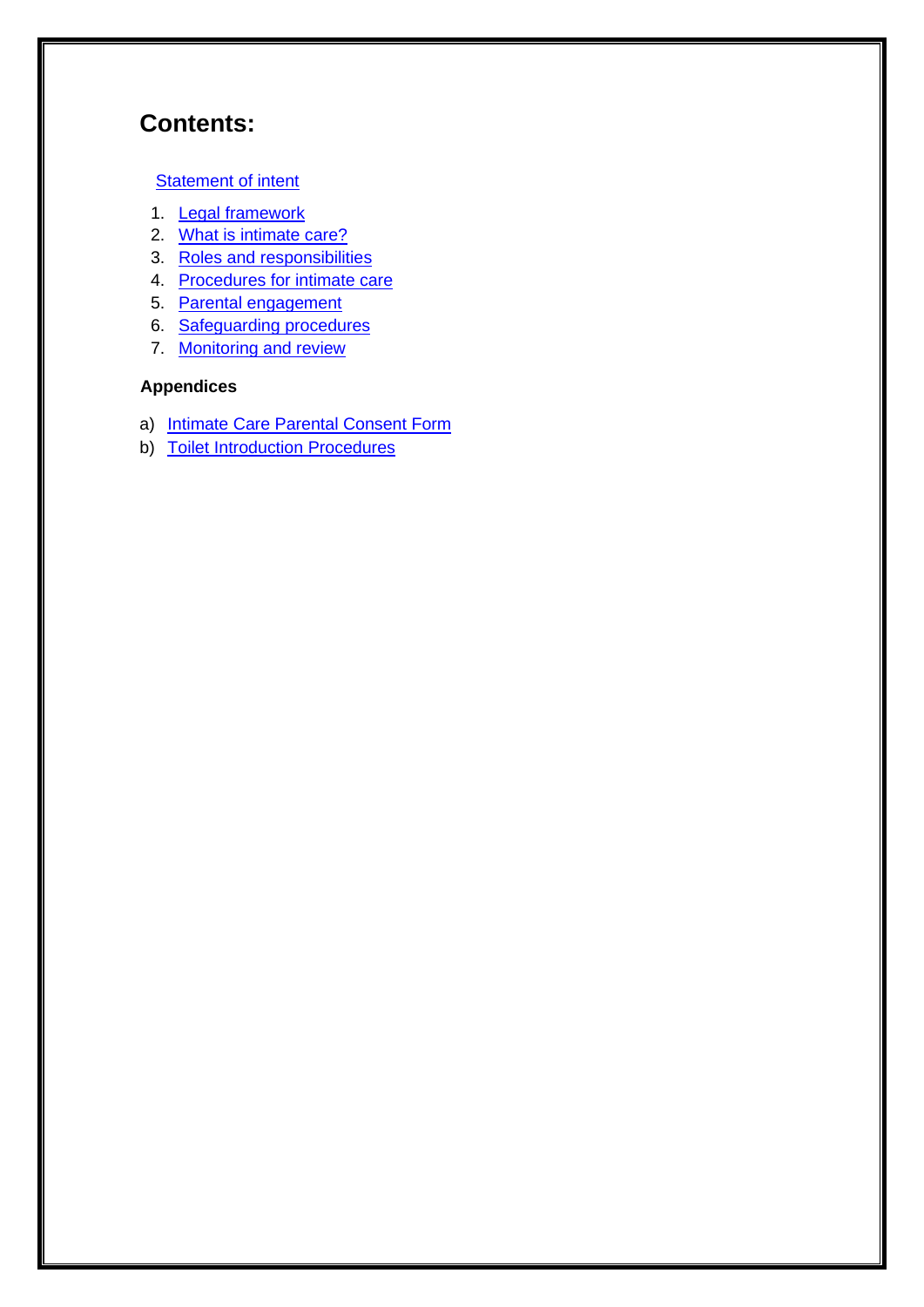### **Contents:**

#### **[Statement of intent](#page-2-0)**

- 1. [Legal framework](#page-3-0)
- 2. [What is intimate care?](#page-3-1)
- 3. [Roles and responsibilities](#page-3-2)
- 4. [Procedures for intimate care](#page-4-0)
- 5. [Parental engagement](#page-5-0)
- 6. [Safeguarding procedures](#page-6-0)
- 7. [Monitoring and review](#page-6-1)

#### **Appendices**

- a) [Intimate Care Parental Consent Form](#page-8-0)
- b) [Toilet Introduction Procedures](#page-10-0)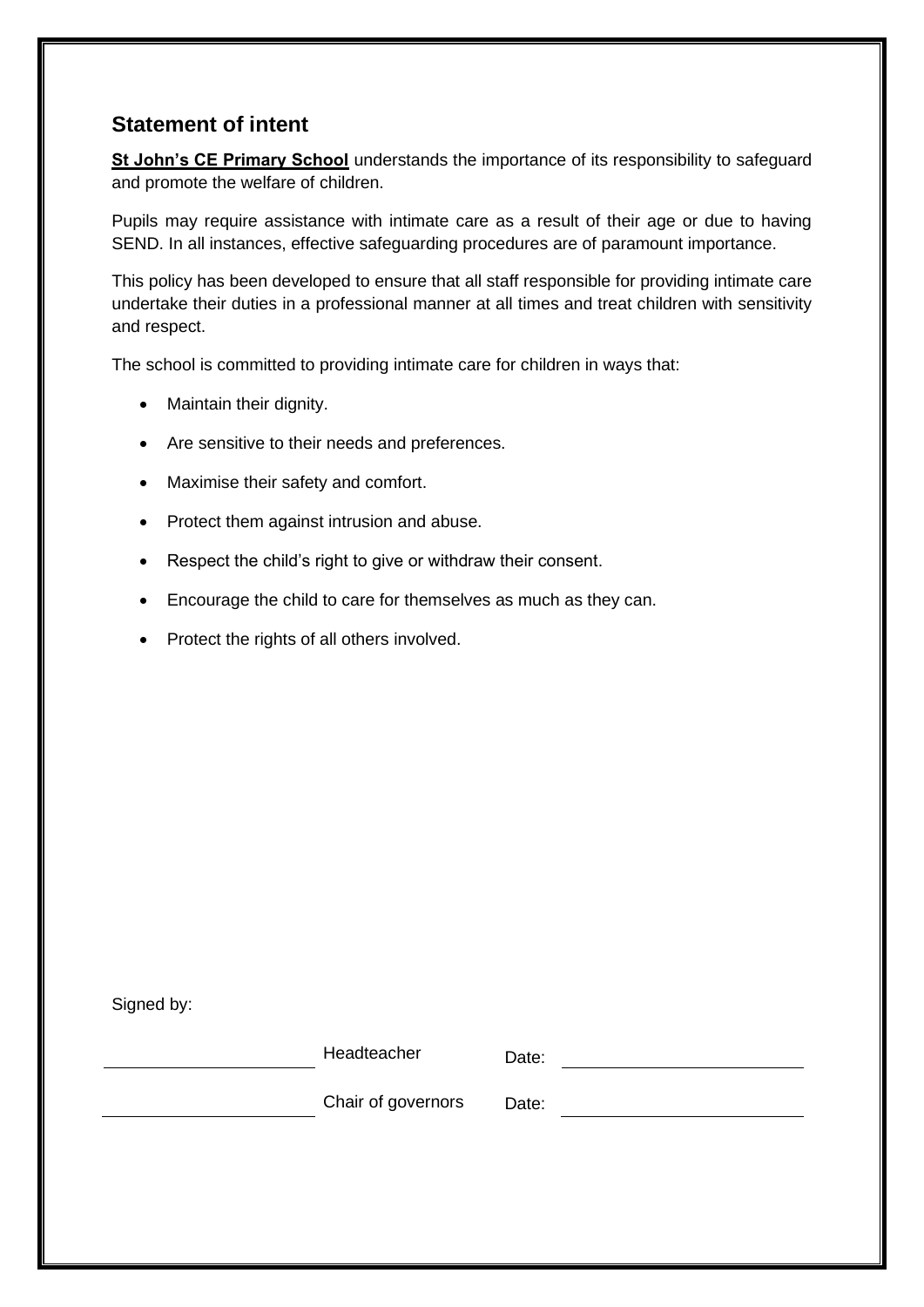#### <span id="page-2-0"></span>**Statement of intent**

**St John's CE Primary School** understands the importance of its responsibility to safeguard and promote the welfare of children.

Pupils may require assistance with intimate care as a result of their age or due to having SEND. In all instances, effective safeguarding procedures are of paramount importance.

This policy has been developed to ensure that all staff responsible for providing intimate care undertake their duties in a professional manner at all times and treat children with sensitivity and respect.

The school is committed to providing intimate care for children in ways that:

- Maintain their dignity.
- Are sensitive to their needs and preferences.
- Maximise their safety and comfort.
- Protect them against intrusion and abuse.
- Respect the child's right to give or withdraw their consent.
- Encourage the child to care for themselves as much as they can.
- Protect the rights of all others involved.

Signed by:

| Headteacher        | Date: |  |
|--------------------|-------|--|
| Chair of governors | Date: |  |
|                    |       |  |
|                    |       |  |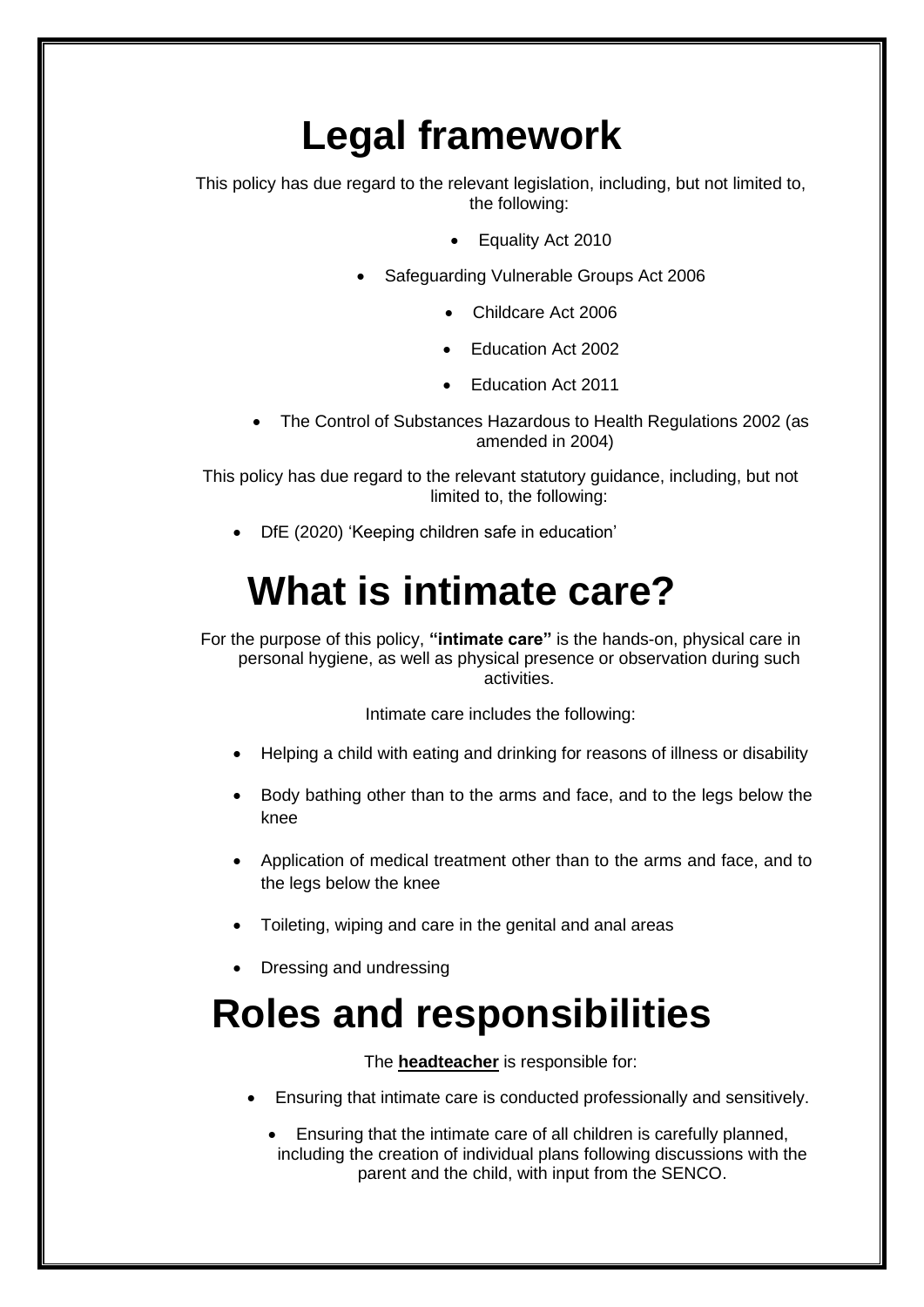# **Legal framework**

<span id="page-3-0"></span>This policy has due regard to the relevant legislation, including, but not limited to, the following:

- Equality Act 2010
- Safeguarding Vulnerable Groups Act 2006
	- Childcare Act 2006
	- Education Act 2002
	- Education Act 2011
- The Control of Substances Hazardous to Health Regulations 2002 (as amended in 2004)

This policy has due regard to the relevant statutory guidance, including, but not limited to, the following:

• DfE (2020) 'Keeping children safe in education'

# **What is intimate care?**

<span id="page-3-1"></span>For the purpose of this policy, **"intimate care"** is the hands-on, physical care in personal hygiene, as well as physical presence or observation during such activities.

Intimate care includes the following:

- Helping a child with eating and drinking for reasons of illness or disability
- Body bathing other than to the arms and face, and to the legs below the knee
- Application of medical treatment other than to the arms and face, and to the legs below the knee
- Toileting, wiping and care in the genital and anal areas
- Dressing and undressing

### <span id="page-3-2"></span>**Roles and responsibilities**

The **headteacher** is responsible for:

- Ensuring that intimate care is conducted professionally and sensitively.
	- Ensuring that the intimate care of all children is carefully planned, including the creation of individual plans following discussions with the parent and the child, with input from the SENCO.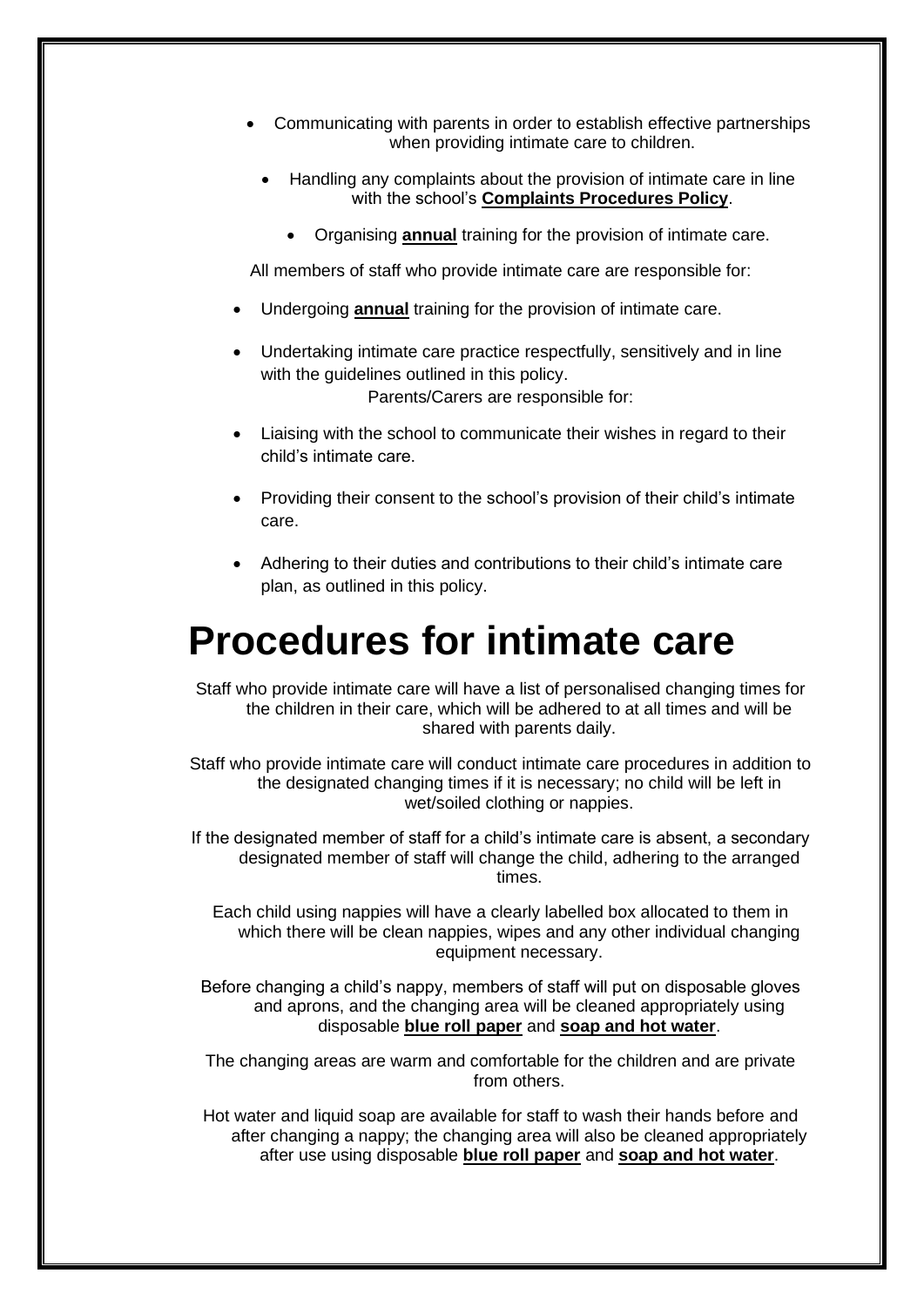- Communicating with parents in order to establish effective partnerships when providing intimate care to children.
	- Handling any complaints about the provision of intimate care in line with the school's **Complaints Procedures Policy**.
		- Organising **annual** training for the provision of intimate care.

All members of staff who provide intimate care are responsible for:

- Undergoing **annual** training for the provision of intimate care.
- Undertaking intimate care practice respectfully, sensitively and in line with the quidelines outlined in this policy. Parents/Carers are responsible for:
- Liaising with the school to communicate their wishes in regard to their child's intimate care.
- Providing their consent to the school's provision of their child's intimate care.
- Adhering to their duties and contributions to their child's intimate care plan, as outlined in this policy.

### <span id="page-4-0"></span>**Procedures for intimate care**

Staff who provide intimate care will have a list of personalised changing times for the children in their care, which will be adhered to at all times and will be shared with parents daily.

Staff who provide intimate care will conduct intimate care procedures in addition to the designated changing times if it is necessary; no child will be left in wet/soiled clothing or nappies.

If the designated member of staff for a child's intimate care is absent, a secondary designated member of staff will change the child, adhering to the arranged times.

Each child using nappies will have a clearly labelled box allocated to them in which there will be clean nappies, wipes and any other individual changing equipment necessary.

Before changing a child's nappy, members of staff will put on disposable gloves and aprons, and the changing area will be cleaned appropriately using disposable **blue roll paper** and **soap and hot water**.

The changing areas are warm and comfortable for the children and are private from others.

Hot water and liquid soap are available for staff to wash their hands before and after changing a nappy; the changing area will also be cleaned appropriately after use using disposable **blue roll paper** and **soap and hot water**.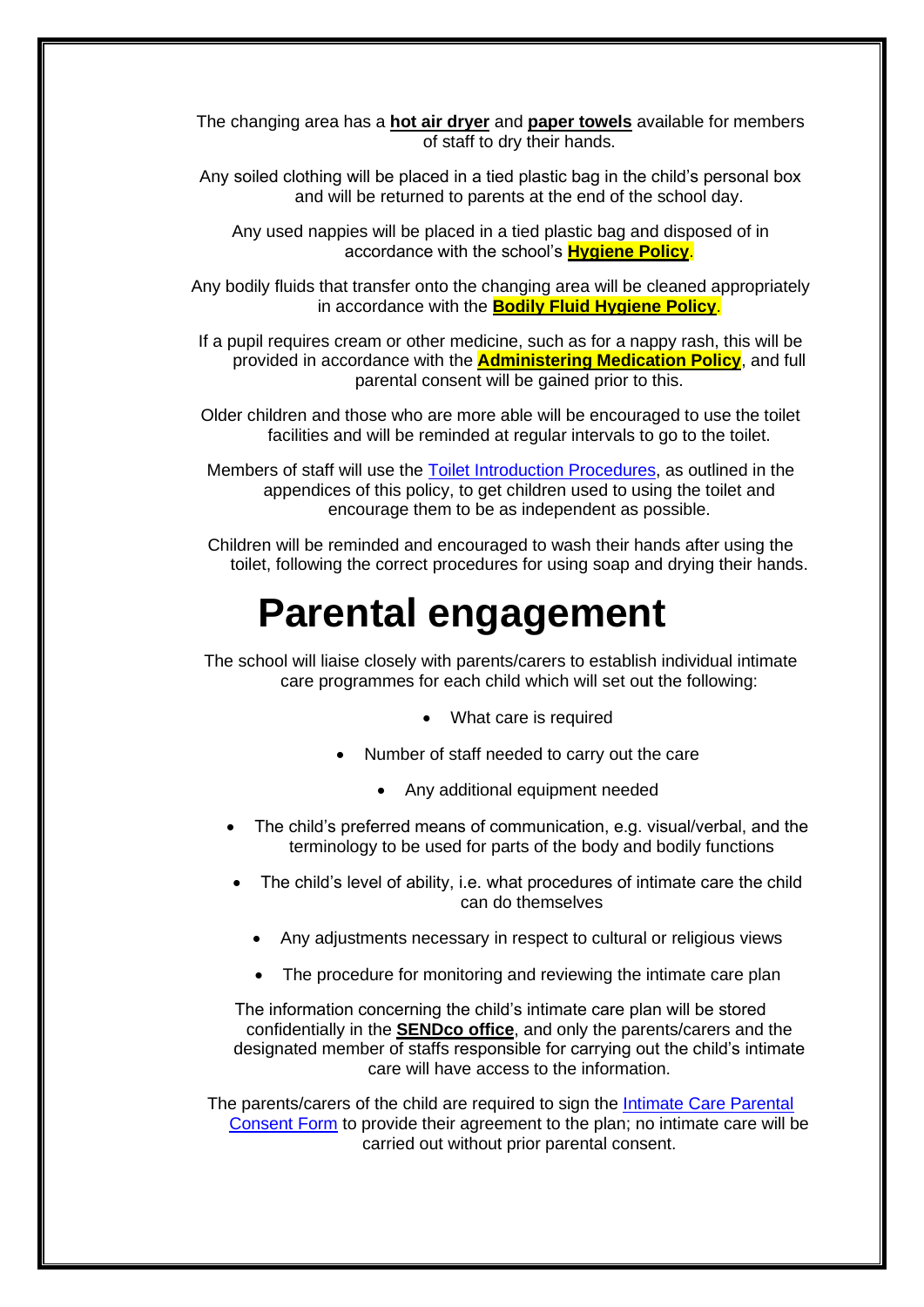The changing area has a **hot air dryer** and **paper towels** available for members of staff to dry their hands.

Any soiled clothing will be placed in a tied plastic bag in the child's personal box and will be returned to parents at the end of the school day.

Any used nappies will be placed in a tied plastic bag and disposed of in accordance with the school's **Hygiene Policy**.

Any bodily fluids that transfer onto the changing area will be cleaned appropriately in accordance with the **Bodily Fluid Hygiene Policy**.

If a pupil requires cream or other medicine, such as for a nappy rash, this will be provided in accordance with the **Administering Medication Policy**, and full parental consent will be gained prior to this.

Older children and those who are more able will be encouraged to use the toilet facilities and will be reminded at regular intervals to go to the toilet.

Members of staff will use the [Toilet Introduction Procedures,](#page-10-0) as outlined in the appendices of this policy, to get children used to using the toilet and encourage them to be as independent as possible.

<span id="page-5-0"></span>Children will be reminded and encouraged to wash their hands after using the toilet, following the correct procedures for using soap and drying their hands.

### **Parental engagement**

The school will liaise closely with parents/carers to establish individual intimate care programmes for each child which will set out the following:

- What care is required
- Number of staff needed to carry out the care
	- Any additional equipment needed
- The child's preferred means of communication, e.g. visual/verbal, and the terminology to be used for parts of the body and bodily functions
- The child's level of ability, i.e. what procedures of intimate care the child can do themselves
	- Any adjustments necessary in respect to cultural or religious views
	- The procedure for monitoring and reviewing the intimate care plan

The information concerning the child's intimate care plan will be stored confidentially in the **SENDco office**, and only the parents/carers and the designated member of staffs responsible for carrying out the child's intimate care will have access to the information.

The parents/carers of the child are required to sign the [Intimate Care Parental](#page-8-0)  [Consent Form](#page-8-0) to provide their agreement to the plan; no intimate care will be carried out without prior parental consent.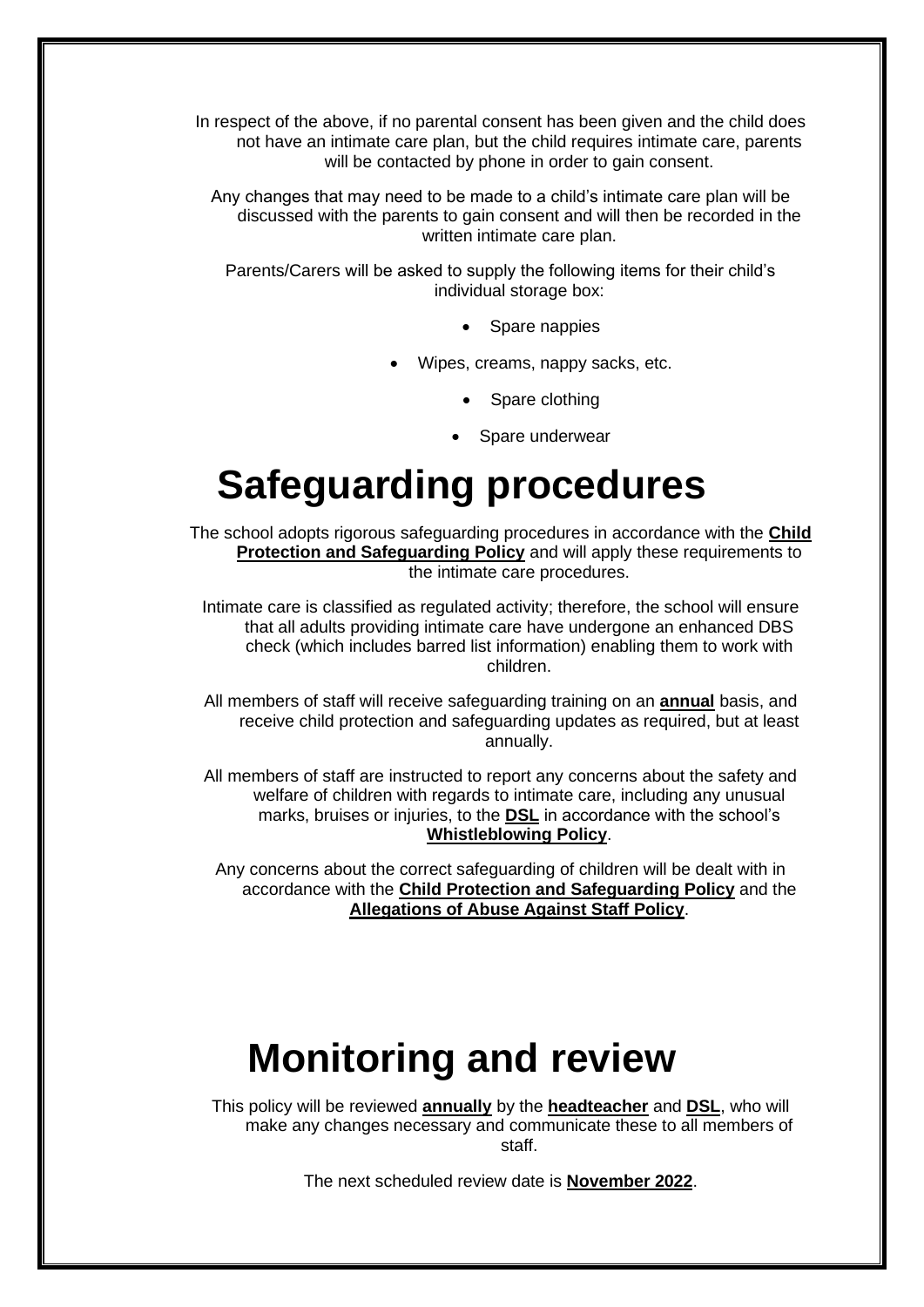In respect of the above, if no parental consent has been given and the child does not have an intimate care plan, but the child requires intimate care, parents will be contacted by phone in order to gain consent.

Any changes that may need to be made to a child's intimate care plan will be discussed with the parents to gain consent and will then be recorded in the written intimate care plan.

Parents/Carers will be asked to supply the following items for their child's individual storage box:

- Spare nappies
- Wipes, creams, nappy sacks, etc.
	- Spare clothing
	- Spare underwear

# **Safeguarding procedures**

<span id="page-6-0"></span>The school adopts rigorous safeguarding procedures in accordance with the **Child Protection and Safeguarding Policy** and will apply these requirements to the intimate care procedures.

Intimate care is classified as regulated activity; therefore, the school will ensure that all adults providing intimate care have undergone an enhanced DBS check (which includes barred list information) enabling them to work with children.

All members of staff will receive safeguarding training on an **annual** basis, and receive child protection and safeguarding updates as required, but at least annually.

All members of staff are instructed to report any concerns about the safety and welfare of children with regards to intimate care, including any unusual marks, bruises or injuries, to the **DSL** in accordance with the school's **Whistleblowing Policy**.

Any concerns about the correct safeguarding of children will be dealt with in accordance with the **Child Protection and Safeguarding Policy** and the **Allegations of Abuse Against Staff Policy**.

## **Monitoring and review**

<span id="page-6-1"></span>This policy will be reviewed **annually** by the **headteacher** and **DSL**, who will make any changes necessary and communicate these to all members of staff.

The next scheduled review date is **November 2022**.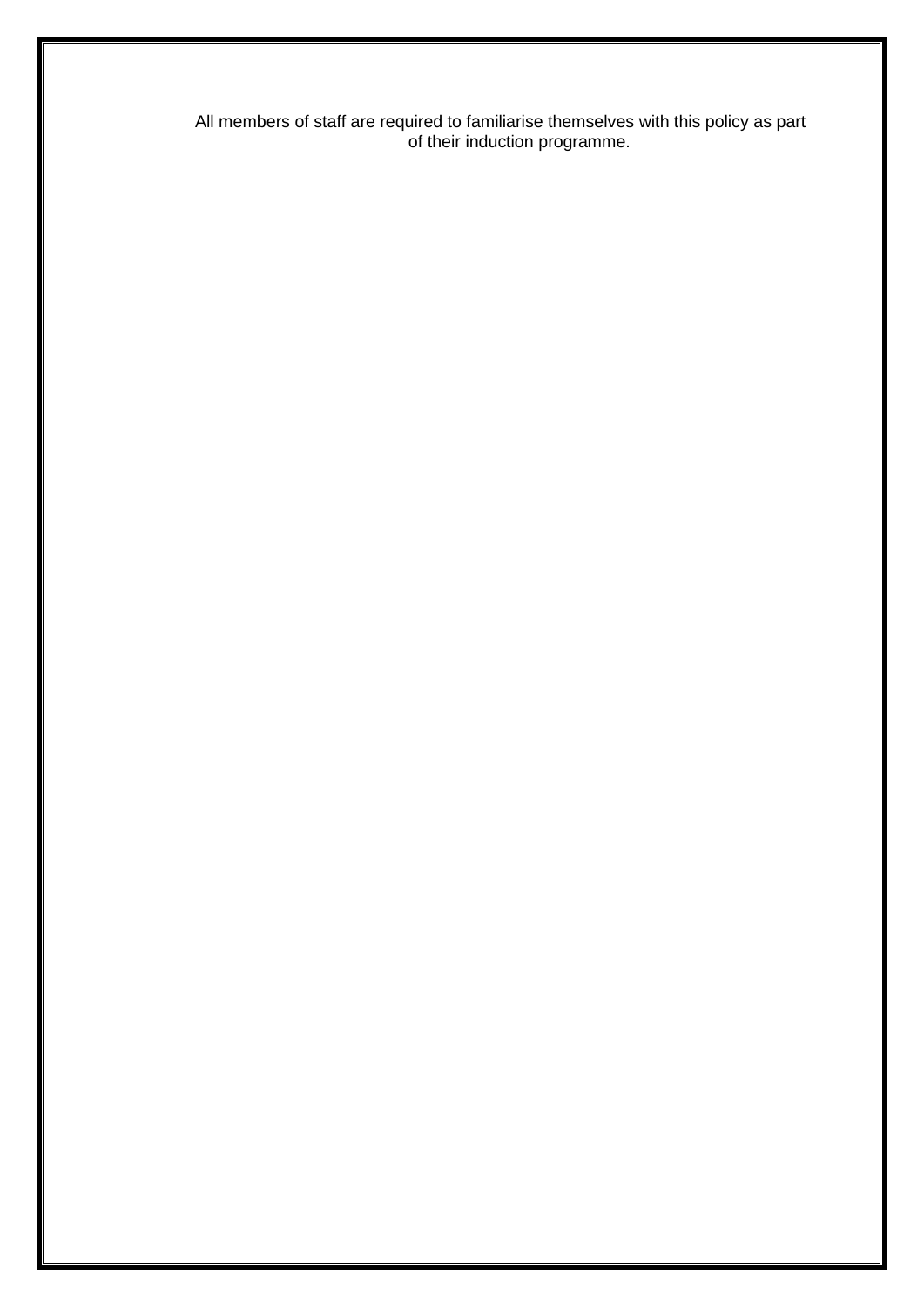All members of staff are required to familiarise themselves with this policy as part of their induction programme.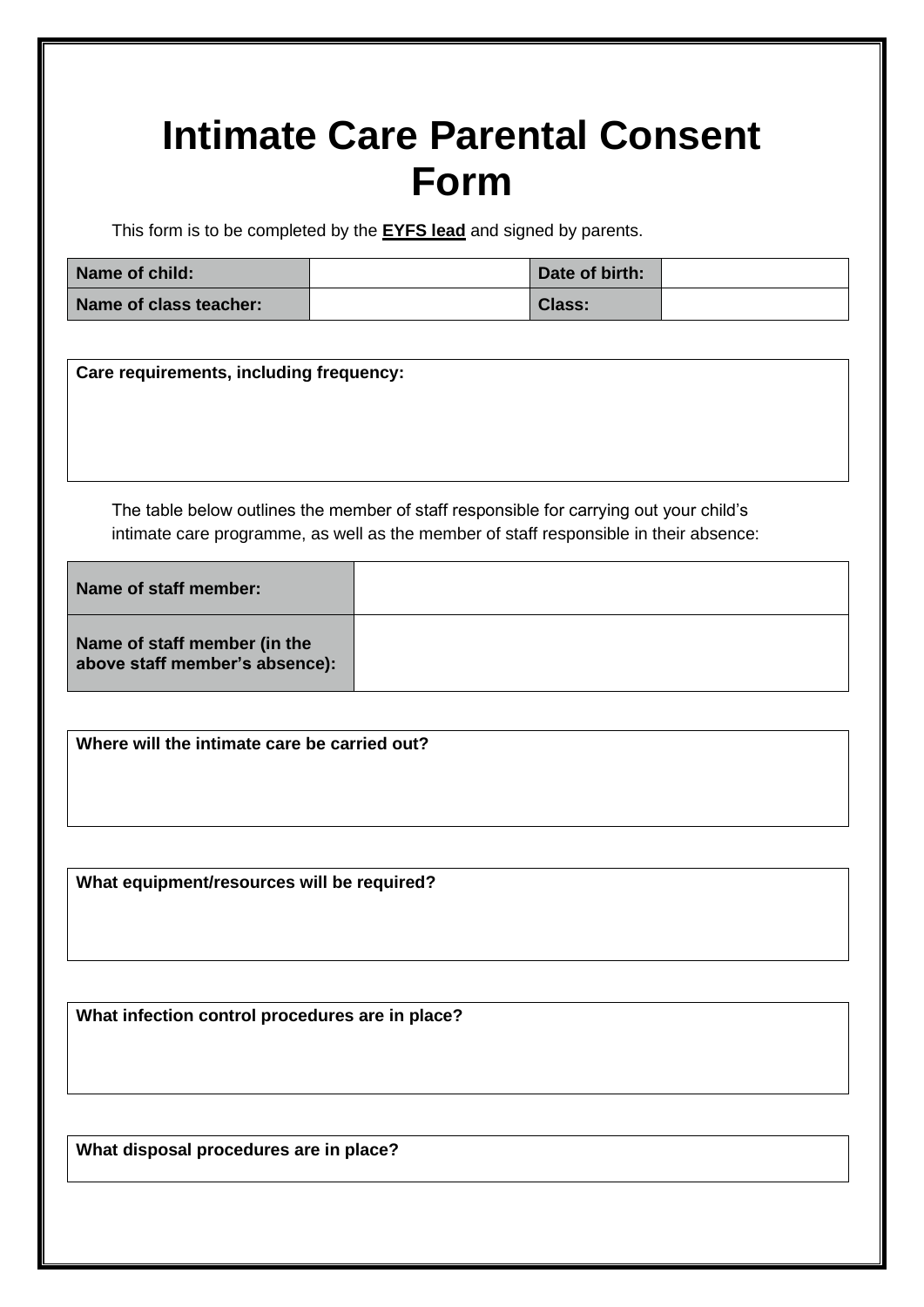# <span id="page-8-0"></span>**Intimate Care Parental Consent Form**

This form is to be completed by the **EYFS lead** and signed by parents.

| Name of child:         | Date of birth: |  |
|------------------------|----------------|--|
| Name of class teacher: | <b>Class:</b>  |  |

**Care requirements, including frequency:**

The table below outlines the member of staff responsible for carrying out your child's intimate care programme, as well as the member of staff responsible in their absence:

| Name of staff member:                                          |  |
|----------------------------------------------------------------|--|
| Name of staff member (in the<br>above staff member's absence): |  |

**Where will the intimate care be carried out?**

**What equipment/resources will be required?**

**What infection control procedures are in place?**

**What disposal procedures are in place?**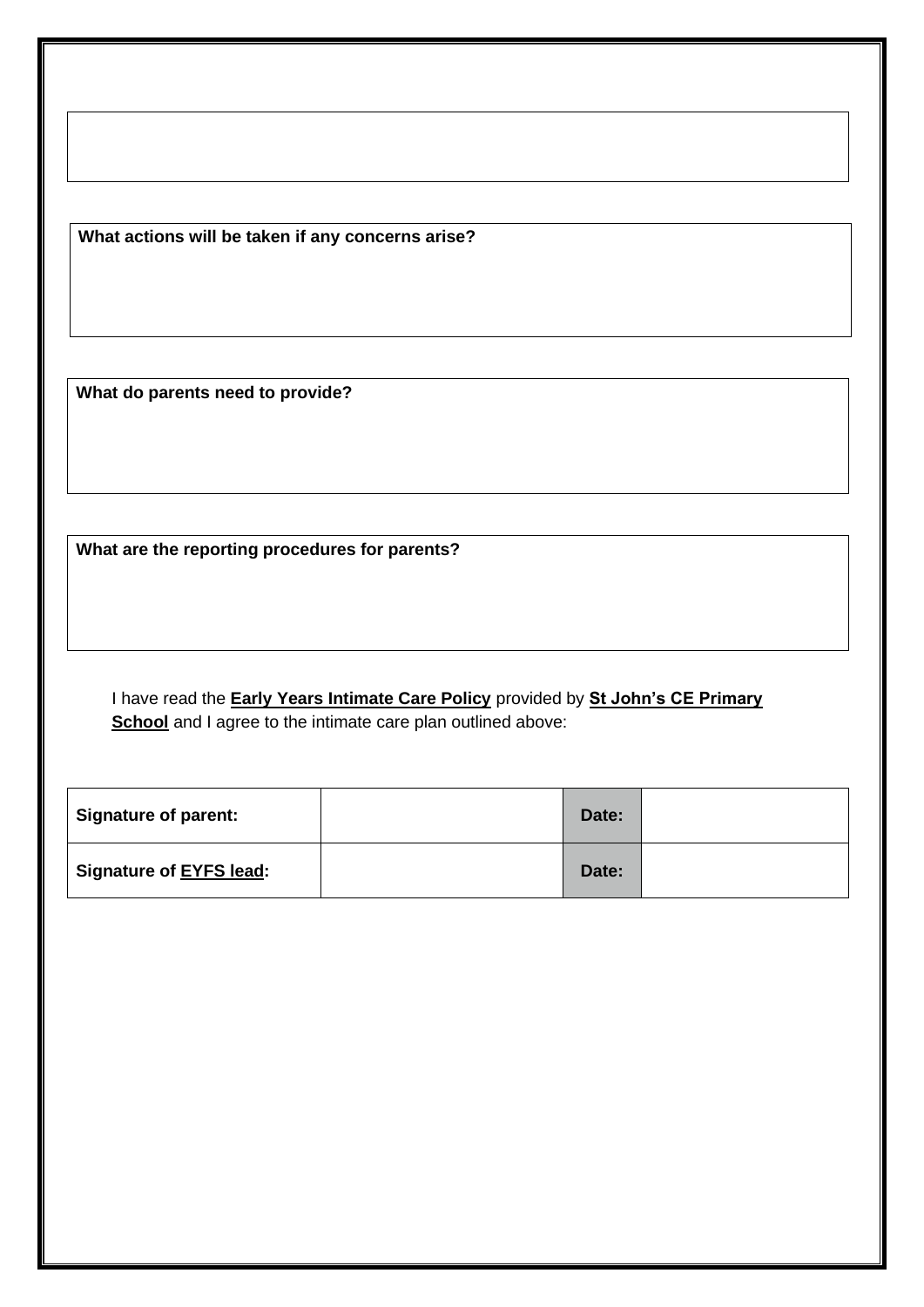**What actions will be taken if any concerns arise?**

**What do parents need to provide?**

**What are the reporting procedures for parents?**

I have read the **Early Years Intimate Care Policy** provided by **St John's CE Primary School** and I agree to the intimate care plan outlined above:

| <b>Signature of parent:</b> | Date: |  |
|-----------------------------|-------|--|
| Signature of EYFS lead:     | Date: |  |